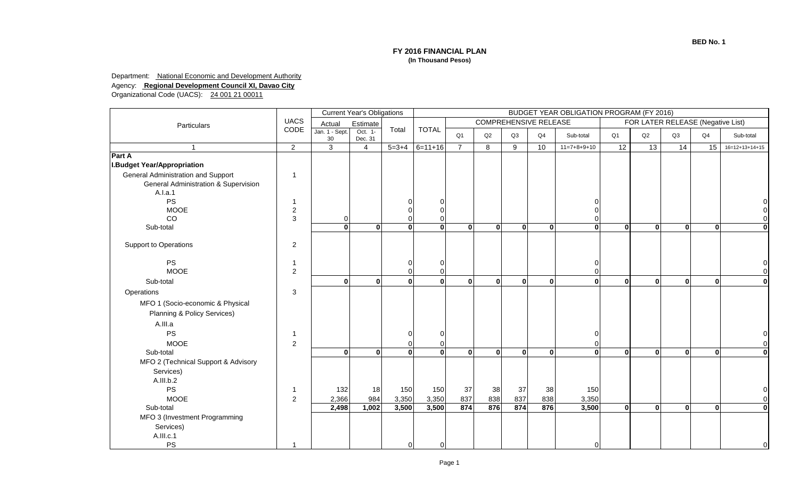## **BED No. 1**

## **FY 2016 FINANCIAL PLAN (In Thousand Pesos)**

## Department: National Economic and Development Authority

## Agency: **Regional Development Council XI, Davao City**

Organizational Code (UACS): 24 001 21 00011

|                                                 |                |                      | <b>Current Year's Obligations</b> |              | <b>BUDGET YEAR OBLIGATION PROGRAM (FY 2016)</b> |                |                                                                   |              |             |               |                |                 |              |                |                  |  |
|-------------------------------------------------|----------------|----------------------|-----------------------------------|--------------|-------------------------------------------------|----------------|-------------------------------------------------------------------|--------------|-------------|---------------|----------------|-----------------|--------------|----------------|------------------|--|
| Particulars                                     | <b>UACS</b>    | Actual               | Estimate                          |              |                                                 |                | <b>COMPREHENSIVE RELEASE</b><br>FOR LATER RELEASE (Negative List) |              |             |               |                |                 |              |                |                  |  |
|                                                 | CODE           | Jan. 1 - Sept.<br>30 | Oct. 1-<br>Dec. 31                | Total        | <b>TOTAL</b>                                    | Q <sub>1</sub> | Q2                                                                | Q3           | Q4          | Sub-total     | Q <sub>1</sub> | Q2              | Q3           | Q <sub>4</sub> | Sub-total        |  |
| $\overline{1}$                                  | $\overline{2}$ | 3                    | $\overline{4}$                    | $5 = 3 + 4$  | $6=11+16$                                       | $\overline{7}$ | 8                                                                 | 9            | 10          | $11=7+8+9+10$ | 12             | $\overline{13}$ | 14           | 15             | $16=12+13+14+15$ |  |
| Part A                                          |                |                      |                                   |              |                                                 |                |                                                                   |              |             |               |                |                 |              |                |                  |  |
| <b>I.Budget Year/Appropriation</b>              |                |                      |                                   |              |                                                 |                |                                                                   |              |             |               |                |                 |              |                |                  |  |
| General Administration and Support              |                |                      |                                   |              |                                                 |                |                                                                   |              |             |               |                |                 |              |                |                  |  |
| <b>General Administration &amp; Supervision</b> |                |                      |                                   |              |                                                 |                |                                                                   |              |             |               |                |                 |              |                |                  |  |
| A.I.a.1                                         |                |                      |                                   |              |                                                 |                |                                                                   |              |             |               |                |                 |              |                |                  |  |
| <b>PS</b>                                       |                |                      |                                   |              | O                                               |                |                                                                   |              |             |               |                |                 |              |                |                  |  |
| <b>MOOE</b>                                     | $\overline{c}$ |                      |                                   | $\Omega$     |                                                 |                |                                                                   |              |             |               |                |                 |              |                |                  |  |
| CO                                              | 3              | $\Omega$             |                                   | $\Omega$     |                                                 |                |                                                                   |              |             |               |                |                 |              |                |                  |  |
| Sub-total                                       |                | $\mathbf{0}$         | $\mathbf{0}$                      | $\mathbf{0}$ | $\mathbf{0}$                                    | $\Omega$       | $\mathbf{0}$                                                      | $\mathbf{0}$ | $\mathbf 0$ | $\bf{0}$      | $\bf{0}$       | $\mathbf{0}$    | $\mathbf{0}$ | $\mathbf{0}$   | $\mathbf{0}$     |  |
| <b>Support to Operations</b>                    | $\overline{c}$ |                      |                                   |              |                                                 |                |                                                                   |              |             |               |                |                 |              |                |                  |  |
|                                                 |                |                      |                                   |              |                                                 |                |                                                                   |              |             |               |                |                 |              |                |                  |  |
| <b>PS</b>                                       |                |                      |                                   | 0            | $\Omega$                                        |                |                                                                   |              |             | 0             |                |                 |              |                |                  |  |
| <b>MOOE</b>                                     | $\overline{c}$ |                      |                                   | $\mathbf 0$  |                                                 |                |                                                                   |              |             | $\Omega$      |                |                 |              |                |                  |  |
| Sub-total                                       |                | $\bf{0}$             | $\mathbf{0}$                      | $\mathbf{0}$ | $\mathbf{0}$                                    | $\Omega$       | $\mathbf{0}$                                                      | $\mathbf{0}$ | $\mathbf 0$ | $\mathbf{0}$  | $\mathbf{0}$   | $\mathbf{0}$    | $\mathbf{0}$ | $\bf{0}$       | $\mathbf{0}$     |  |
| Operations                                      | 3              |                      |                                   |              |                                                 |                |                                                                   |              |             |               |                |                 |              |                |                  |  |
| MFO 1 (Socio-economic & Physical                |                |                      |                                   |              |                                                 |                |                                                                   |              |             |               |                |                 |              |                |                  |  |
|                                                 |                |                      |                                   |              |                                                 |                |                                                                   |              |             |               |                |                 |              |                |                  |  |
| Planning & Policy Services)                     |                |                      |                                   |              |                                                 |                |                                                                   |              |             |               |                |                 |              |                |                  |  |
| A.III.a                                         |                |                      |                                   |              |                                                 |                |                                                                   |              |             |               |                |                 |              |                |                  |  |
| <b>PS</b>                                       |                |                      |                                   | $\Omega$     | $\Omega$                                        |                |                                                                   |              |             | ſ             |                |                 |              |                |                  |  |
| <b>MOOE</b>                                     | $\overline{c}$ |                      |                                   | $\Omega$     |                                                 |                |                                                                   |              |             |               |                |                 |              |                |                  |  |
| Sub-total                                       |                | $\bf{0}$             | $\mathbf{0}$                      | $\mathbf{0}$ | $\mathbf{0}$                                    | $\Omega$       | $\mathbf{0}$                                                      | $\Omega$     | $\mathbf 0$ | $\Omega$      | $\mathbf{0}$   | $\mathbf{0}$    | $\mathbf{0}$ | $\bf{0}$       | $\mathbf{0}$     |  |
| MFO 2 (Technical Support & Advisory             |                |                      |                                   |              |                                                 |                |                                                                   |              |             |               |                |                 |              |                |                  |  |
| Services)                                       |                |                      |                                   |              |                                                 |                |                                                                   |              |             |               |                |                 |              |                |                  |  |
| A.III.b.2                                       |                |                      |                                   |              |                                                 |                |                                                                   |              |             |               |                |                 |              |                |                  |  |
| PS                                              |                | 132                  | 18                                | 150          | 150                                             | 37             | 38                                                                | 37           | 38          | 150           |                |                 |              |                |                  |  |
| <b>MOOE</b>                                     | $\overline{c}$ | 2,366                | 984                               | 3,350        | 3,350                                           | 837            | 838                                                               | 837          | 838         | 3,350         |                |                 |              |                |                  |  |
| Sub-total                                       |                | 2,498                | 1,002                             | 3,500        | 3,500                                           | 874            | 876                                                               | 874          | 876         | 3,500         | $\mathbf{0}$   | $\mathbf{0}$    | $\mathbf{0}$ | $\Omega$       | $\mathbf{0}$     |  |
| MFO 3 (Investment Programming                   |                |                      |                                   |              |                                                 |                |                                                                   |              |             |               |                |                 |              |                |                  |  |
| Services)                                       |                |                      |                                   |              |                                                 |                |                                                                   |              |             |               |                |                 |              |                |                  |  |
| A.III.c.1                                       |                |                      |                                   |              |                                                 |                |                                                                   |              |             |               |                |                 |              |                |                  |  |
| PS                                              | -1             |                      |                                   | 0            | $\mathbf 0$                                     |                |                                                                   |              |             | $\Omega$      |                |                 |              |                |                  |  |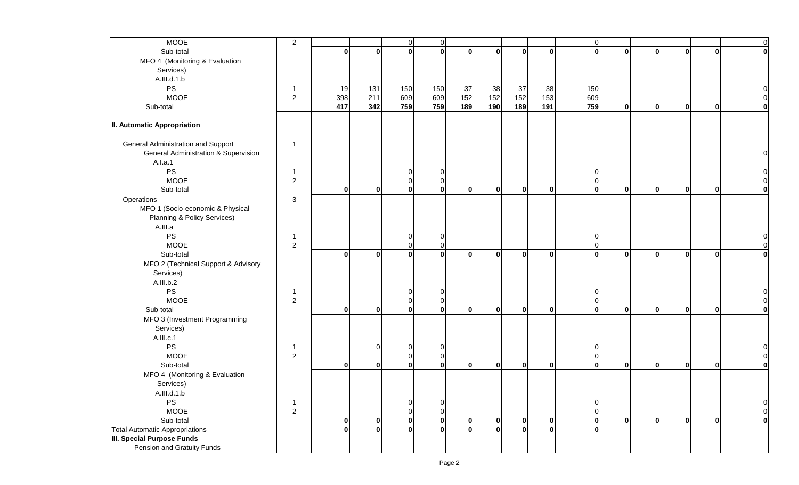| <b>MOOE</b>                           | $\overline{c}$ |              |              | $\pmb{0}$   | $\mathbf 0$  |              |              |              |             | $\mathbf 0$ |              |              |              |              | $\overline{0}$ |
|---------------------------------------|----------------|--------------|--------------|-------------|--------------|--------------|--------------|--------------|-------------|-------------|--------------|--------------|--------------|--------------|----------------|
| Sub-total                             |                | $\mathbf{0}$ | 0            | $\bullet$   | $\mathbf{0}$ | $\mathbf{0}$ | $\mathbf{0}$ | $\mathbf{0}$ | $\pmb{0}$   | 0           | $\mathbf 0$  | $\mathbf{0}$ | $\mathbf{0}$ | $\mathbf{0}$ | 0              |
| MFO 4 (Monitoring & Evaluation        |                |              |              |             |              |              |              |              |             |             |              |              |              |              |                |
| Services)                             |                |              |              |             |              |              |              |              |             |             |              |              |              |              |                |
| A.III.d.1.b                           |                |              |              |             |              |              |              |              |             |             |              |              |              |              |                |
| PS                                    | -1             | 19           | 131          | 150         | 150          | 37           | 38           | 37           | 38          | 150         |              |              |              |              |                |
| <b>MOOE</b>                           | $\overline{2}$ | 398          | 211          | 609         | 609          | 152          | 152          | 152          | 153         | 609         |              |              |              |              |                |
| Sub-total                             |                | 417          | 342          | 759         | 759          | 189          | 190          | 189          | 191         | 759         | $\mathbf 0$  | $\mathbf{0}$ | $\mathbf{0}$ | $\mathbf{0}$ | $\mathbf{0}$   |
|                                       |                |              |              |             |              |              |              |              |             |             |              |              |              |              |                |
| II. Automatic Appropriation           |                |              |              |             |              |              |              |              |             |             |              |              |              |              |                |
| General Administration and Support    |                |              |              |             |              |              |              |              |             |             |              |              |              |              |                |
| General Administration & Supervision  |                |              |              |             |              |              |              |              |             |             |              |              |              |              |                |
| A.I.a.1                               |                |              |              |             |              |              |              |              |             |             |              |              |              |              |                |
| $\mathsf{PS}$                         |                |              |              | 0           | $\Omega$     |              |              |              |             | 0           |              |              |              |              |                |
| <b>MOOE</b>                           | $\overline{c}$ |              |              | 0           |              |              |              |              |             |             |              |              |              |              |                |
| Sub-total                             |                | $\mathbf{0}$ | 0            | $\mathbf 0$ | $\bf{0}$     | $\mathbf{0}$ | $\mathbf{0}$ | 0            | $\bf{0}$    | $\mathbf 0$ | $\pmb{0}$    | $\mathbf{0}$ | $\mathbf{0}$ | $\mathbf{0}$ | $\mathbf{0}$   |
| Operations                            | 3              |              |              |             |              |              |              |              |             |             |              |              |              |              |                |
| MFO 1 (Socio-economic & Physical      |                |              |              |             |              |              |              |              |             |             |              |              |              |              |                |
| Planning & Policy Services)           |                |              |              |             |              |              |              |              |             |             |              |              |              |              |                |
| A.III.a                               |                |              |              |             |              |              |              |              |             |             |              |              |              |              |                |
| $\mathsf{PS}$                         | -1             |              |              | 0           | 0            |              |              |              |             | 0           |              |              |              |              |                |
| <b>MOOE</b>                           | $\overline{c}$ |              |              | 0           | 0            |              |              |              |             | $\Omega$    |              |              |              |              |                |
| Sub-total                             |                | $\mathbf{0}$ | 0            | $\mathbf 0$ | $\bf{0}$     | $\mathbf{0}$ | $\mathbf{0}$ | $\mathbf{0}$ | 0           | $\mathbf 0$ | $\mathbf{0}$ | $\mathbf{0}$ | $\mathbf{0}$ | $\bf{0}$     | $\mathbf{0}$   |
| MFO 2 (Technical Support & Advisory   |                |              |              |             |              |              |              |              |             |             |              |              |              |              |                |
| Services)                             |                |              |              |             |              |              |              |              |             |             |              |              |              |              |                |
| A.III.b.2                             |                |              |              |             |              |              |              |              |             |             |              |              |              |              |                |
| $\mathsf{PS}$                         | -1             |              |              | 0           | $\Omega$     |              |              |              |             | U           |              |              |              |              |                |
| <b>MOOE</b>                           | $\overline{c}$ |              |              | 0           | 0            |              |              |              |             | O           |              |              |              |              | $\Omega$       |
| Sub-total                             |                | $\mathbf{0}$ | 0            | $\mathbf 0$ | $\mathbf{0}$ | $\mathbf{0}$ | $\mathbf{0}$ | 0            | $\mathbf 0$ | $\mathbf 0$ | $\mathbf{0}$ | $\mathbf{0}$ | $\mathbf{0}$ | $\mathbf{0}$ | $\mathbf{0}$   |
| MFO 3 (Investment Programming         |                |              |              |             |              |              |              |              |             |             |              |              |              |              |                |
| Services)                             |                |              |              |             |              |              |              |              |             |             |              |              |              |              |                |
| A.III.c.1                             |                |              |              |             |              |              |              |              |             |             |              |              |              |              |                |
| $\mathsf{PS}$                         |                |              | 0            | 0           | -0           |              |              |              |             |             |              |              |              |              |                |
| <b>MOOE</b>                           | $\overline{c}$ |              |              | $\mathbf 0$ | 0            |              |              |              |             | n           |              |              |              |              |                |
| Sub-total                             |                | $\mathbf{0}$ | 0            | $\mathbf 0$ | $\mathbf{0}$ | $\mathbf{0}$ | $\mathbf{0}$ | $\mathbf{0}$ | $\mathbf 0$ | $\bf{0}$    | $\mathbf 0$  | $\mathbf{0}$ | $\mathbf{0}$ | $\mathbf{0}$ | $\mathbf{0}$   |
| MFO 4 (Monitoring & Evaluation        |                |              |              |             |              |              |              |              |             |             |              |              |              |              |                |
| Services)                             |                |              |              |             |              |              |              |              |             |             |              |              |              |              |                |
| A.III.d.1.b                           |                |              |              |             |              |              |              |              |             |             |              |              |              |              |                |
| <b>PS</b>                             | -1             |              |              | 0           | 0            |              |              |              |             | $\Omega$    |              |              |              |              | 0              |
| <b>MOOE</b>                           | $\overline{c}$ |              |              | 0           | $\Omega$     |              |              |              |             | ∩           |              |              |              |              | $\overline{0}$ |
| Sub-total                             |                | 0            | 0            | $\bf{0}$    | $\mathbf 0$  | $\bf{0}$     | 0            | $\bf{0}$     | $\mathbf 0$ | 0           | $\pmb{0}$    | $\mathbf{0}$ | $\mathbf{0}$ |              | $\mathbf{0}$   |
| <b>Total Automatic Appropriations</b> |                | $\mathbf{0}$ | $\mathbf{0}$ | $\mathbf 0$ | $\mathbf{0}$ | $\mathbf{0}$ | $\mathbf{0}$ | $\Omega$     | $\mathbf 0$ | $\bf{0}$    |              |              |              |              |                |
| <b>III. Special Purpose Funds</b>     |                |              |              |             |              |              |              |              |             |             |              |              |              |              |                |
| Pension and Gratuity Funds            |                |              |              |             |              |              |              |              |             |             |              |              |              |              |                |
|                                       |                |              |              |             |              |              |              |              |             |             |              |              |              |              |                |